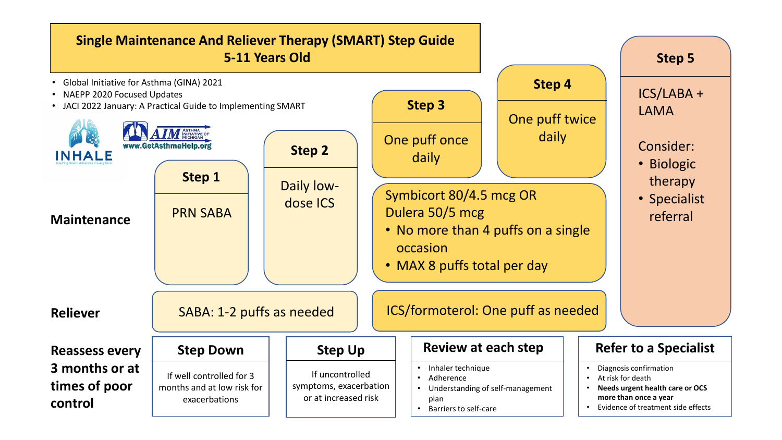